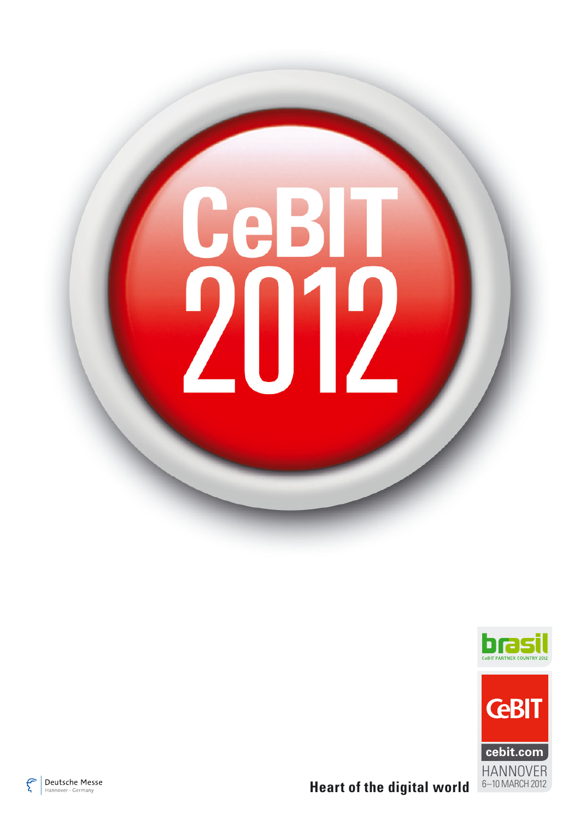# CeBIT 2012







**Heart of the digital world**